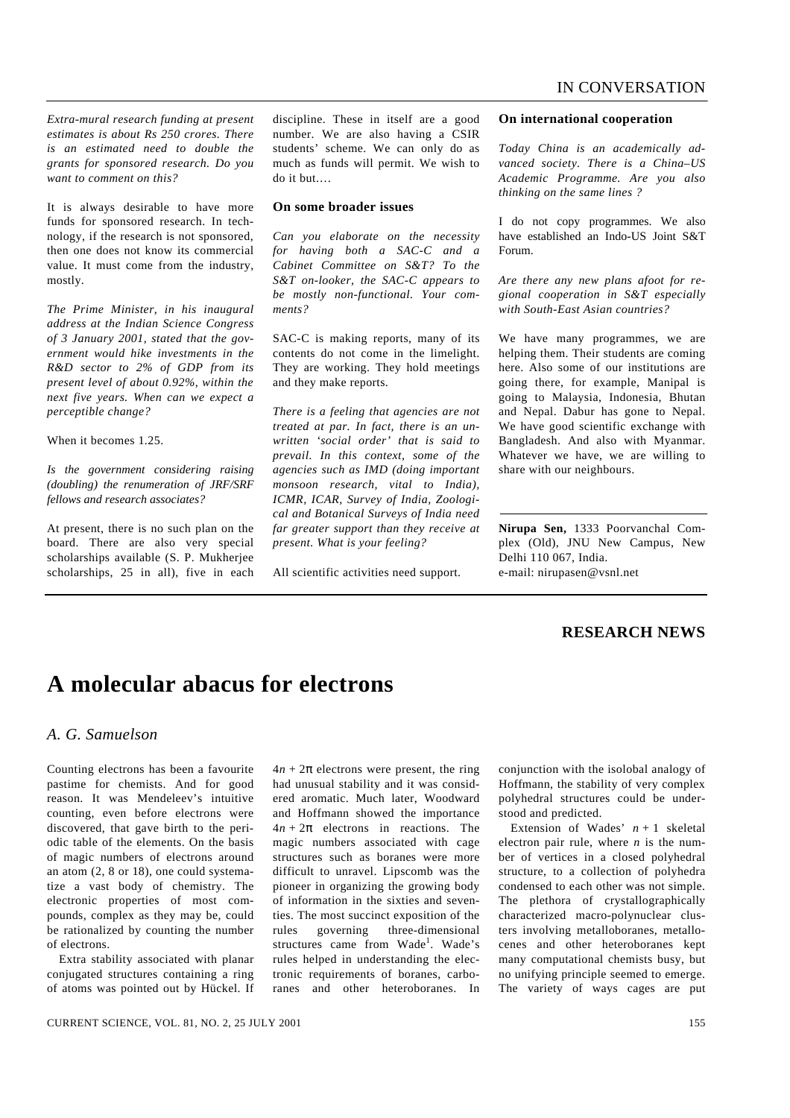*Extra-mural research funding at present estimates is about Rs 250 crores. There is an estimated need to double the grants for sponsored research. Do you want to comment on this?*

It is always desirable to have more funds for sponsored research. In technology, if the research is not sponsored, then one does not know its commercial value. It must come from the industry, mostly.

*The Prime Minister, in his inaugural address at the Indian Science Congress of 3 January 2001, stated that the government would hike investments in the R&D sector to 2% of GDP from its present level of about 0.92%, within the next five years. When can we expect a perceptible change?*

When it becomes 1.25.

*Is the government considering raising (doubling) the renumeration of JRF/SRF fellows and research associates?*

At present, there is no such plan on the board. There are also very special scholarships available (S. P. Mukherjee scholarships, 25 in all), five in each discipline. These in itself are a good number. We are also having a CSIR students' scheme. We can only do as much as funds will permit. We wish to do it but.…

### **On some broader issues**

*Can you elaborate on the necessity for having both a SAC-C and a Cabinet Committee on S&T? To the S&T on-looker, the SAC-C appears to be mostly non-functional. Your comments?*

SAC-C is making reports, many of its contents do not come in the limelight. They are working. They hold meetings and they make reports.

*There is a feeling that agencies are not treated at par. In fact, there is an unwritten 'social order' that is said to prevail. In this context, some of the agencies such as IMD (doing important monsoon research, vital to India), ICMR, ICAR, Survey of India, Zoological and Botanical Surveys of India need far greater support than they receive at present. What is your feeling?*

All scientific activities need support.

#### **On international cooperation**

*Today China is an academically advanced society. There is a China–US Academic Programme. Are you also thinking on the same lines ?*

I do not copy programmes. We also have established an Indo-US Joint S&T Forum.

*Are there any new plans afoot for regional cooperation in S&T especially with South-East Asian countries?*

We have many programmes, we are helping them. Their students are coming here. Also some of our institutions are going there, for example, Manipal is going to Malaysia, Indonesia, Bhutan and Nepal. Dabur has gone to Nepal. We have good scientific exchange with Bangladesh. And also with Myanmar. Whatever we have, we are willing to share with our neighbours.

**Nirupa Sen,** 1333 Poorvanchal Complex (Old), JNU New Campus, New Delhi 110 067, India. e-mail: nirupasen@vsnl.net

## **RESEARCH NEWS**

# **A molecular abacus for electrons**

### *A. G. Samuelson*

Counting electrons has been a favourite pastime for chemists. And for good reason. It was Mendeleev's intuitive counting, even before electrons were discovered, that gave birth to the periodic table of the elements. On the basis of magic numbers of electrons around an atom (2, 8 or 18), one could systematize a vast body of chemistry. The electronic properties of most compounds, complex as they may be, could be rationalized by counting the number of electrons.

Extra stability associated with planar conjugated structures containing a ring of atoms was pointed out by Hückel. If  $4n + 2p$  electrons were present, the ring had unusual stability and it was considered aromatic. Much later, Woodward and Hoffmann showed the importance  $4n + 2p$  electrons in reactions. The magic numbers associated with cage structures such as boranes were more difficult to unravel. Lipscomb was the pioneer in organizing the growing body of information in the sixties and seventies. The most succinct exposition of the rules governing three-dimensional structures came from Wade<sup>1</sup>. Wade's rules helped in understanding the electronic requirements of boranes, carboranes and other heteroboranes. In

conjunction with the isolobal analogy of Hoffmann, the stability of very complex polyhedral structures could be understood and predicted.

Extension of Wades'  $n + 1$  skeletal electron pair rule, where *n* is the number of vertices in a closed polyhedral structure, to a collection of polyhedra condensed to each other was not simple. The plethora of crystallographically characterized macro-polynuclear clusters involving metalloboranes, metallocenes and other heteroboranes kept many computational chemists busy, but no unifying principle seemed to emerge. The variety of ways cages are put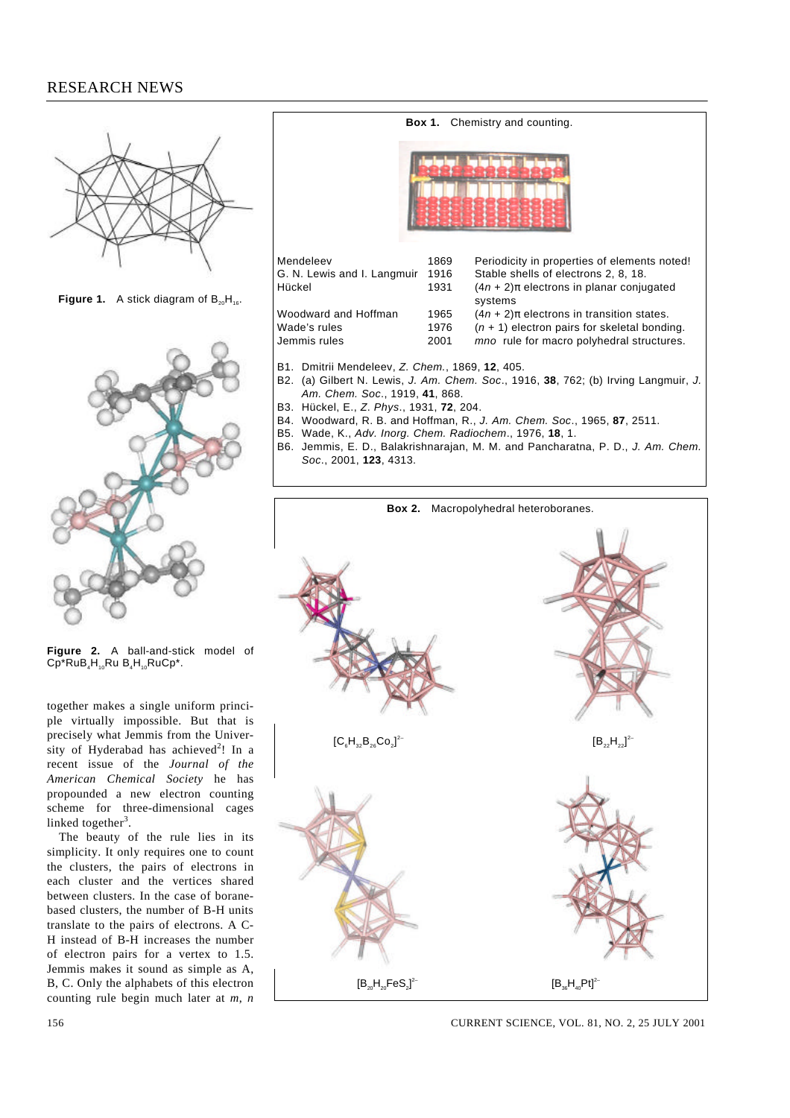## RESEARCH NEWS



**Figure 1.** A stick diagram of  $B_{20}H_{16}$ .



**Figure 2.** A ball-and-stick model of  $\overline{CP}^*RuB_4H_{10}RuB_4H_{10}RuCp^*$ .

together makes a single uniform principle virtually impossible. But that is precisely what Jemmis from the University of Hyderabad has achieved<sup>2</sup>! In a recent issue of the *Journal of the American Chemical Society* he has propounded a new electron counting scheme for three-dimensional cages linked together<sup>3</sup>.

The beauty of the rule lies in its simplicity. It only requires one to count the clusters, the pairs of electrons in each cluster and the vertices shared between clusters. In the case of boranebased clusters, the number of B-H units translate to the pairs of electrons. A C-H instead of B-H increases the number of electron pairs for a vertex to 1.5. Jemmis makes it sound as simple as A, B, C. Only the alphabets of this electron counting rule begin much later at *m*, *n*



- B2. (a) Gilbert N. Lewis, J. Am. Chem. Soc., 1916, **38**, 762; (b) Irving Langmuir, J. Am. Chem. Soc., 1919, **41**, 868.
- B3. Hückel, E., Z. Phys., 1931, **72**, 204.
- B4. Woodward, R. B. and Hoffman, R., J. Am. Chem. Soc., 1965, **87**, 2511.
- B5. Wade, K., Adv. Inorg. Chem. Radiochem., 1976, **18**, 1.
- B6. Jemmis, E. D., Balakrishnarajan, M. M. and Pancharatna, P. D., J. Am. Chem. Soc., 2001, **123**, 4313.



156 CURRENT SCIENCE, VOL. 81, NO. 2, 25 JULY 2001